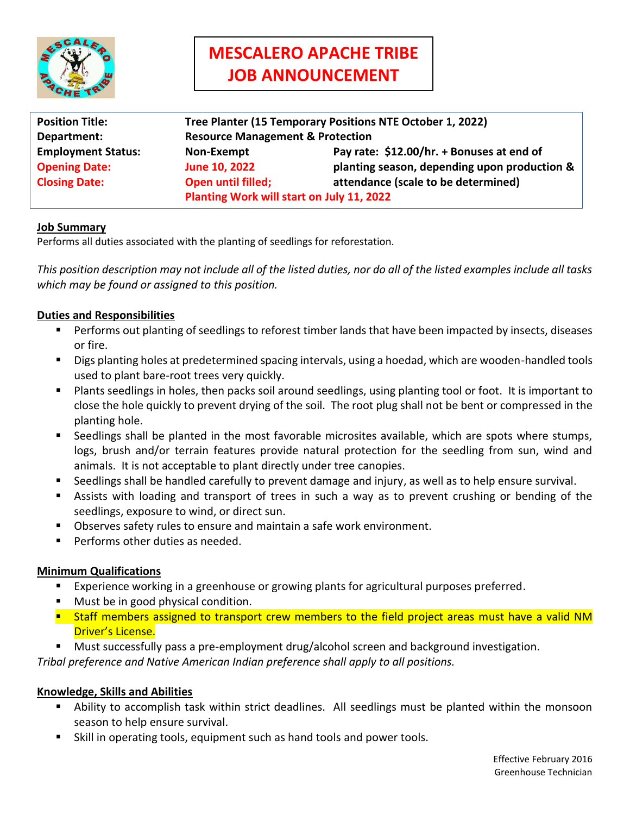

# **MESCALERO APACHE TRIBE JOB ANNOUNCEMENT**

| <b>Position Title:</b>    | Tree Planter (15 Temporary Positions NTE October 1, 2022) |                                              |
|---------------------------|-----------------------------------------------------------|----------------------------------------------|
| Department:               | <b>Resource Management &amp; Protection</b>               |                                              |
| <b>Employment Status:</b> | Non-Exempt                                                | Pay rate: \$12.00/hr. + Bonuses at end of    |
| <b>Opening Date:</b>      | June 10, 2022                                             | planting season, depending upon production & |
| <b>Closing Date:</b>      | <b>Open until filled;</b>                                 | attendance (scale to be determined)          |
|                           | Planting Work will start on July 11, 2022                 |                                              |

### **Job Summary**

Performs all duties associated with the planting of seedlings for reforestation.

*This position description may not include all of the listed duties, nor do all of the listed examples include all tasks which may be found or assigned to this position.*

### **Duties and Responsibilities**

- **Performs out planting of seedlings to reforest timber lands that have been impacted by insects, diseases** or fire.
- Digs planting holes at predetermined spacing intervals, using a hoedad, which are wooden-handled tools used to plant bare-root trees very quickly.
- Plants seedlings in holes, then packs soil around seedlings, using planting tool or foot. It is important to close the hole quickly to prevent drying of the soil. The root plug shall not be bent or compressed in the planting hole.
- Seedlings shall be planted in the most favorable microsites available, which are spots where stumps, logs, brush and/or terrain features provide natural protection for the seedling from sun, wind and animals. It is not acceptable to plant directly under tree canopies.
- Seedlings shall be handled carefully to prevent damage and injury, as well as to help ensure survival.
- Assists with loading and transport of trees in such a way as to prevent crushing or bending of the seedlings, exposure to wind, or direct sun.
- Observes safety rules to ensure and maintain a safe work environment.
- Performs other duties as needed.

### **Minimum Qualifications**

- Experience working in a greenhouse or growing plants for agricultural purposes preferred.
- Must be in good physical condition.
- **E** Staff members assigned to transport crew members to the field project areas must have a valid NM Driver's License.
- Must successfully pass a pre-employment drug/alcohol screen and background investigation.

*Tribal preference and Native American Indian preference shall apply to all positions.*

### **Knowledge, Skills and Abilities**

- Ability to accomplish task within strict deadlines. All seedlings must be planted within the monsoon season to help ensure survival.
- Skill in operating tools, equipment such as hand tools and power tools.